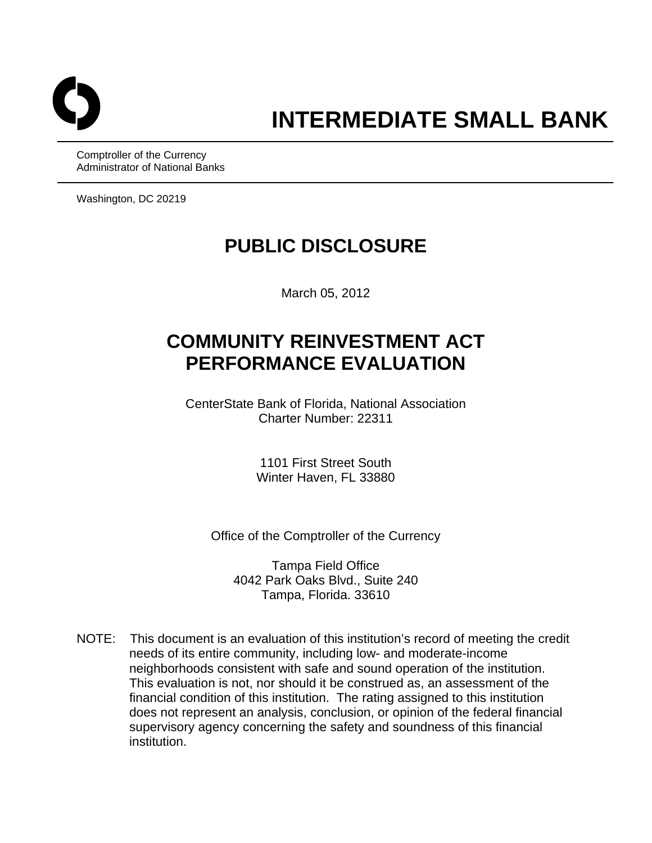

Comptroller of the Currency Administrator of National Banks

Washington, DC 20219

# **PUBLIC DISCLOSURE**

March 05, 2012

# **COMMUNITY REINVESTMENT ACT PERFORMANCE EVALUATION**

CenterState Bank of Florida, National Association Charter Number: 22311

> 1101 First Street South Winter Haven, FL 33880

Office of the Comptroller of the Currency

Tampa Field Office 4042 Park Oaks Blvd., Suite 240 Tampa, Florida. 33610

NOTE: This document is an evaluation of this institution's record of meeting the credit needs of its entire community, including low- and moderate-income neighborhoods consistent with safe and sound operation of the institution. This evaluation is not, nor should it be construed as, an assessment of the financial condition of this institution. The rating assigned to this institution does not represent an analysis, conclusion, or opinion of the federal financial supervisory agency concerning the safety and soundness of this financial institution.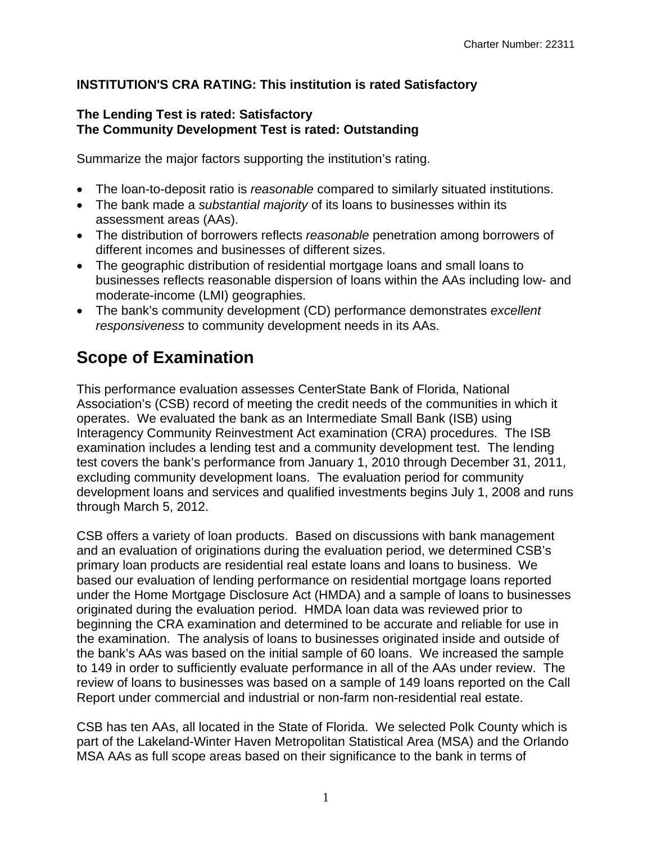# **INSTITUTION'S CRA RATING: This institution is rated Satisfactory**

### **The Lending Test is rated: Satisfactory The Community Development Test is rated: Outstanding**

Summarize the major factors supporting the institution's rating.

- The loan-to-deposit ratio is *reasonable* compared to similarly situated institutions.
- The bank made a *substantial majority* of its loans to businesses within its assessment areas (AAs).
- The distribution of borrowers reflects *reasonable* penetration among borrowers of different incomes and businesses of different sizes.
- The geographic distribution of residential mortgage loans and small loans to businesses reflects reasonable dispersion of loans within the AAs including low- and moderate-income (LMI) geographies.
- The bank's community development (CD) performance demonstrates *excellent responsiveness* to community development needs in its AAs.

# **Scope of Examination**

This performance evaluation assesses CenterState Bank of Florida, National Association's (CSB) record of meeting the credit needs of the communities in which it operates. We evaluated the bank as an Intermediate Small Bank (ISB) using Interagency Community Reinvestment Act examination (CRA) procedures. The ISB examination includes a lending test and a community development test. The lending test covers the bank's performance from January 1, 2010 through December 31, 2011, excluding community development loans. The evaluation period for community development loans and services and qualified investments begins July 1, 2008 and runs through March 5, 2012.

CSB offers a variety of loan products. Based on discussions with bank management and an evaluation of originations during the evaluation period, we determined CSB's primary loan products are residential real estate loans and loans to business. We based our evaluation of lending performance on residential mortgage loans reported under the Home Mortgage Disclosure Act (HMDA) and a sample of loans to businesses originated during the evaluation period. HMDA loan data was reviewed prior to beginning the CRA examination and determined to be accurate and reliable for use in the examination. The analysis of loans to businesses originated inside and outside of the bank's AAs was based on the initial sample of 60 loans. We increased the sample to 149 in order to sufficiently evaluate performance in all of the AAs under review. The review of loans to businesses was based on a sample of 149 loans reported on the Call Report under commercial and industrial or non-farm non-residential real estate.

CSB has ten AAs, all located in the State of Florida. We selected Polk County which is part of the Lakeland-Winter Haven Metropolitan Statistical Area (MSA) and the Orlando MSA AAs as full scope areas based on their significance to the bank in terms of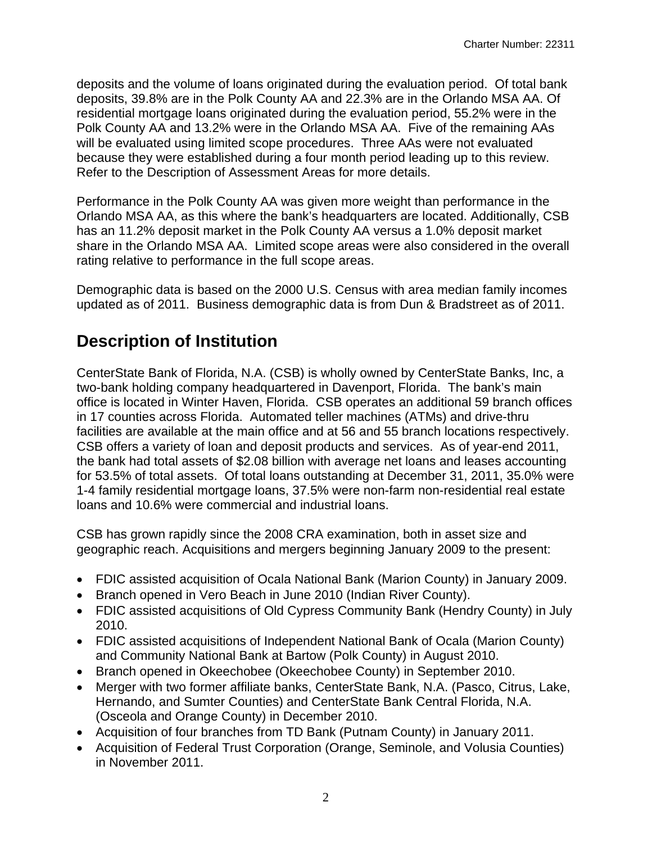deposits and the volume of loans originated during the evaluation period. Of total bank deposits, 39.8% are in the Polk County AA and 22.3% are in the Orlando MSA AA. Of residential mortgage loans originated during the evaluation period, 55.2% were in the Polk County AA and 13.2% were in the Orlando MSA AA. Five of the remaining AAs will be evaluated using limited scope procedures. Three AAs were not evaluated because they were established during a four month period leading up to this review. Refer to the Description of Assessment Areas for more details.

Performance in the Polk County AA was given more weight than performance in the Orlando MSA AA, as this where the bank's headquarters are located. Additionally, CSB has an 11.2% deposit market in the Polk County AA versus a 1.0% deposit market share in the Orlando MSA AA. Limited scope areas were also considered in the overall rating relative to performance in the full scope areas.

Demographic data is based on the 2000 U.S. Census with area median family incomes updated as of 2011. Business demographic data is from Dun & Bradstreet as of 2011.

# **Description of Institution**

CenterState Bank of Florida, N.A. (CSB) is wholly owned by CenterState Banks, Inc, a two-bank holding company headquartered in Davenport, Florida. The bank's main office is located in Winter Haven, Florida. CSB operates an additional 59 branch offices in 17 counties across Florida. Automated teller machines (ATMs) and drive-thru facilities are available at the main office and at 56 and 55 branch locations respectively. CSB offers a variety of loan and deposit products and services. As of year-end 2011, the bank had total assets of \$2.08 billion with average net loans and leases accounting for 53.5% of total assets. Of total loans outstanding at December 31, 2011, 35.0% were 1-4 family residential mortgage loans, 37.5% were non-farm non-residential real estate loans and 10.6% were commercial and industrial loans.

CSB has grown rapidly since the 2008 CRA examination, both in asset size and geographic reach. Acquisitions and mergers beginning January 2009 to the present:

- FDIC assisted acquisition of Ocala National Bank (Marion County) in January 2009.
- Branch opened in Vero Beach in June 2010 (Indian River County).
- FDIC assisted acquisitions of Old Cypress Community Bank (Hendry County) in July 2010.
- FDIC assisted acquisitions of Independent National Bank of Ocala (Marion County) and Community National Bank at Bartow (Polk County) in August 2010.
- Branch opened in Okeechobee (Okeechobee County) in September 2010.
- Merger with two former affiliate banks, CenterState Bank, N.A. (Pasco, Citrus, Lake, Hernando, and Sumter Counties) and CenterState Bank Central Florida, N.A. (Osceola and Orange County) in December 2010.
- Acquisition of four branches from TD Bank (Putnam County) in January 2011.
- Acquisition of Federal Trust Corporation (Orange, Seminole, and Volusia Counties) in November 2011.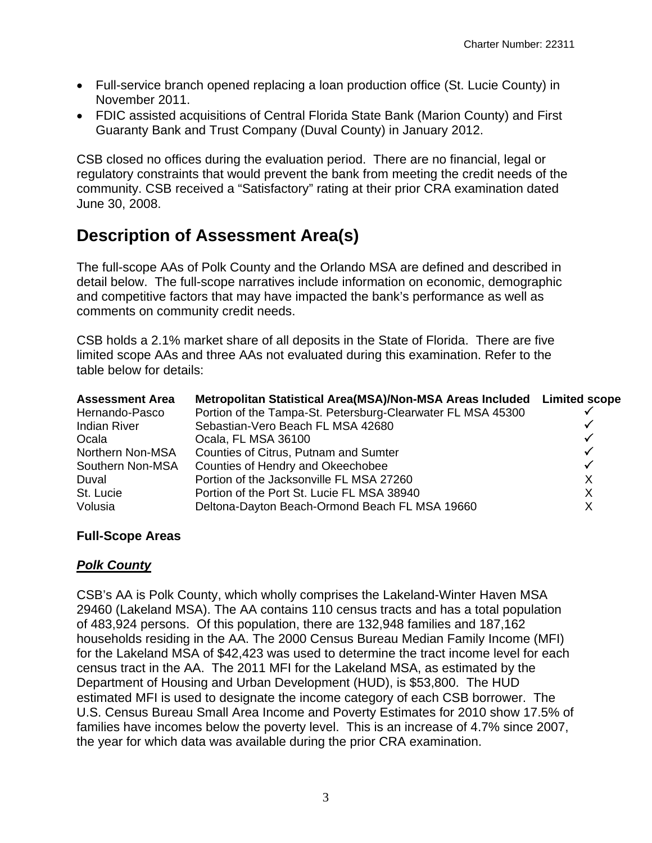- Full-service branch opened replacing a loan production office (St. Lucie County) in November 2011.
- FDIC assisted acquisitions of Central Florida State Bank (Marion County) and First Guaranty Bank and Trust Company (Duval County) in January 2012.

CSB closed no offices during the evaluation period. There are no financial, legal or regulatory constraints that would prevent the bank from meeting the credit needs of the community. CSB received a "Satisfactory" rating at their prior CRA examination dated June 30, 2008.

# **Description of Assessment Area(s)**

The full-scope AAs of Polk County and the Orlando MSA are defined and described in detail below. The full-scope narratives include information on economic, demographic and competitive factors that may have impacted the bank's performance as well as comments on community credit needs.

CSB holds a 2.1% market share of all deposits in the State of Florida. There are five limited scope AAs and three AAs not evaluated during this examination. Refer to the table below for details:

| <b>Assessment Area</b> | Metropolitan Statistical Area(MSA)/Non-MSA Areas Included Limited scope |              |
|------------------------|-------------------------------------------------------------------------|--------------|
| Hernando-Pasco         | Portion of the Tampa-St. Petersburg-Clearwater FL MSA 45300             |              |
| <b>Indian River</b>    | Sebastian-Vero Beach FL MSA 42680                                       |              |
| Ocala                  | Ocala, FL MSA 36100                                                     | ✓            |
| Northern Non-MSA       | Counties of Citrus, Putnam and Sumter                                   | $\checkmark$ |
| Southern Non-MSA       | Counties of Hendry and Okeechobee                                       | $\checkmark$ |
| Duval                  | Portion of the Jacksonville FL MSA 27260                                | X            |
| St. Lucie              | Portion of the Port St. Lucie FL MSA 38940                              | X            |
| Volusia                | Deltona-Dayton Beach-Ormond Beach FL MSA 19660                          | х            |

# **Full-Scope Areas**

# *Polk County*

CSB's AA is Polk County, which wholly comprises the Lakeland-Winter Haven MSA 29460 (Lakeland MSA). The AA contains 110 census tracts and has a total population of 483,924 persons. Of this population, there are 132,948 families and 187,162 households residing in the AA. The 2000 Census Bureau Median Family Income (MFI) for the Lakeland MSA of \$42,423 was used to determine the tract income level for each census tract in the AA. The 2011 MFI for the Lakeland MSA, as estimated by the Department of Housing and Urban Development (HUD), is \$53,800. The HUD estimated MFI is used to designate the income category of each CSB borrower. The U.S. Census Bureau Small Area Income and Poverty Estimates for 2010 show 17.5% of families have incomes below the poverty level. This is an increase of 4.7% since 2007, the year for which data was available during the prior CRA examination.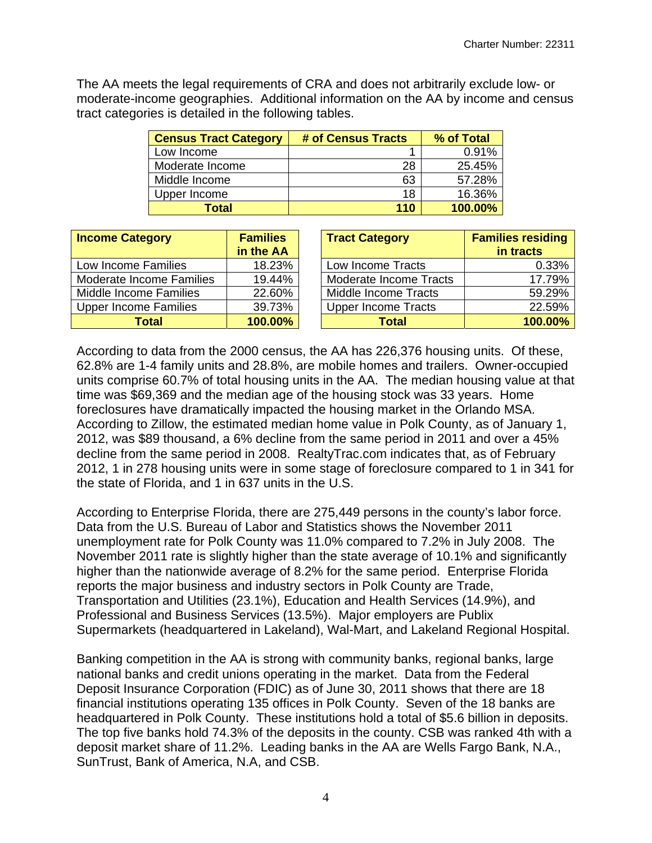The AA meets the legal requirements of CRA and does not arbitrarily exclude low- or moderate-income geographies. Additional information on the AA by income and census tract categories is detailed in the following tables.

| <b>Census Tract Category</b> | # of Census Tracts | % of Total |
|------------------------------|--------------------|------------|
| Low Income                   |                    | 0.91%      |
| Moderate Income              | 28                 | 25.45%     |
| Middle Income                | 63                 | 57.28%     |
| Upper Income                 | 18                 | 16.36%     |
| Total                        | 110                | 100.00%    |

| <b>Income Category</b>       | <b>Families</b> | <b>Tract Category</b>      | <b>Families residing</b> |
|------------------------------|-----------------|----------------------------|--------------------------|
|                              | in the AA       |                            | in tracts                |
| Low Income Families          | 18.23%          | Low Income Tracts          | 0.33%                    |
| Moderate Income Families     | 19.44%          | Moderate Income Tracts     | 17.79%                   |
| Middle Income Families       | 22.60%          | Middle Income Tracts       | 59.29%                   |
| <b>Upper Income Families</b> | 39.73%          | <b>Upper Income Tracts</b> | 22.59%                   |
| Total                        | 100.00%         | <b>Total</b>               | 100.00%                  |

According to data from the 2000 census, the AA has 226,376 housing units. Of these, 62.8% are 1-4 family units and 28.8%, are mobile homes and trailers. Owner-occupied units comprise 60.7% of total housing units in the AA. The median housing value at that time was \$69,369 and the median age of the housing stock was 33 years. Home foreclosures have dramatically impacted the housing market in the Orlando MSA. According to Zillow, the estimated median home value in Polk County, as of January 1, 2012, was \$89 thousand, a 6% decline from the same period in 2011 and over a 45% decline from the same period in 2008. RealtyTrac.com indicates that, as of February 2012, 1 in 278 housing units were in some stage of foreclosure compared to 1 in 341 for the state of Florida, and 1 in 637 units in the U.S.

According to Enterprise Florida, there are 275,449 persons in the county's labor force. Data from the U.S. Bureau of Labor and Statistics shows the November 2011 unemployment rate for Polk County was 11.0% compared to 7.2% in July 2008. The November 2011 rate is slightly higher than the state average of 10.1% and significantly higher than the nationwide average of 8.2% for the same period. Enterprise Florida reports the major business and industry sectors in Polk County are Trade, Transportation and Utilities (23.1%), Education and Health Services (14.9%), and Professional and Business Services (13.5%). Major employers are Publix Supermarkets (headquartered in Lakeland), Wal-Mart, and Lakeland Regional Hospital.

Banking competition in the AA is strong with community banks, regional banks, large national banks and credit unions operating in the market. Data from the Federal Deposit Insurance Corporation (FDIC) as of June 30, 2011 shows that there are 18 financial institutions operating 135 offices in Polk County. Seven of the 18 banks are headquartered in Polk County. These institutions hold a total of \$5.6 billion in deposits. The top five banks hold 74.3% of the deposits in the county. CSB was ranked 4th with a deposit market share of 11.2%. Leading banks in the AA are Wells Fargo Bank, N.A., SunTrust, Bank of America, N.A, and CSB.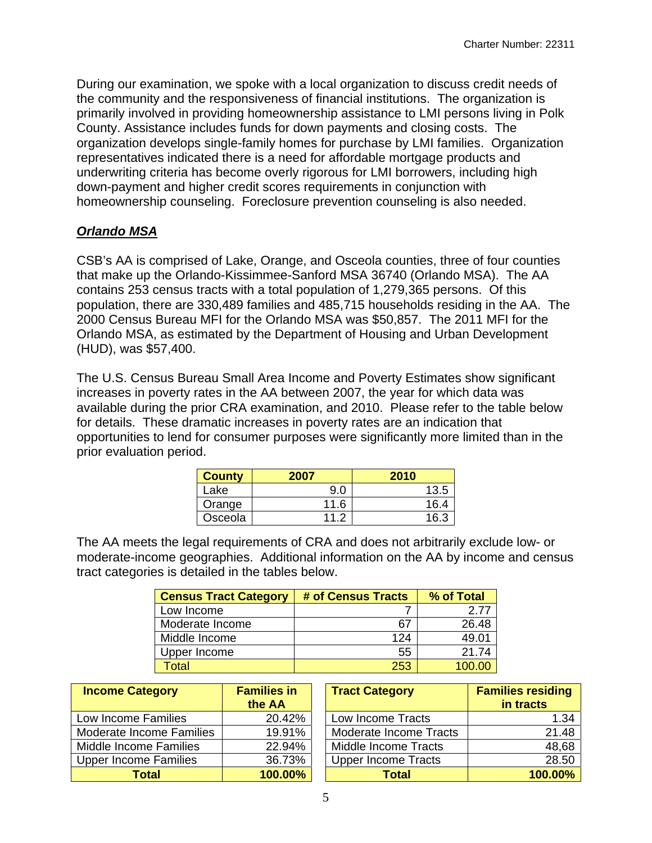During our examination, we spoke with a local organization to discuss credit needs of the community and the responsiveness of financial institutions. The organization is primarily involved in providing homeownership assistance to LMI persons living in Polk County. Assistance includes funds for down payments and closing costs. The organization develops single-family homes for purchase by LMI families. Organization representatives indicated there is a need for affordable mortgage products and underwriting criteria has become overly rigorous for LMI borrowers, including high down-payment and higher credit scores requirements in conjunction with homeownership counseling. Foreclosure prevention counseling is also needed.

# *Orlando MSA*

 contains 253 census tracts with a total population of 1,279,365 persons. Of this CSB's AA is comprised of Lake, Orange, and Osceola counties, three of four counties that make up the Orlando-Kissimmee-Sanford MSA 36740 (Orlando MSA). The AA population, there are 330,489 families and 485,715 households residing in the AA. The 2000 Census Bureau MFI for the Orlando MSA was \$50,857. The 2011 MFI for the Orlando MSA, as estimated by the Department of Housing and Urban Development (HUD), was \$57,400.

The U.S. Census Bureau Small Area Income and Poverty Estimates show significant increases in poverty rates in the AA between 2007, the year for which data was available during the prior CRA examination, and 2010. Please refer to the table below for details. These dramatic increases in poverty rates are an indication that opportunities to lend for consumer purposes were significantly more limited than in the prior evaluation period.

| <b>County</b> | 2007 | 2010 |
|---------------|------|------|
| _ake          | 9.0  | 13.5 |
| Orange        | 11.6 | 16.4 |
| Osceola       | 11 つ | 16.3 |

The AA meets the legal requirements of CRA and does not arbitrarily exclude low- or moderate-income geographies. Additional information on the AA by income and census tract categories is detailed in the tables below.

| <b>Census Tract Category</b> | # of Census Tracts | % of Total |
|------------------------------|--------------------|------------|
| Low Income                   |                    | 2.77       |
| Moderate Income              | 67                 | 26.48      |
| Middle Income                | 124                | 49.01      |
| Upper Income                 | 55                 | 21.74      |
| Total                        | 253                | 100.00     |

| <b>Income Category</b>       | <b>Families in</b><br>the AA | <b>Tract Category</b>      | <b>Families residing</b><br>in tracts |
|------------------------------|------------------------------|----------------------------|---------------------------------------|
| Low Income Families          | 20.42%                       | Low Income Tracts          | 1.34                                  |
| Moderate Income Families     | 19.91%                       | Moderate Income Tracts     | 21.48                                 |
| Middle Income Families       | 22.94%                       | Middle Income Tracts       | 48,68                                 |
| <b>Upper Income Families</b> | 36.73%                       | <b>Upper Income Tracts</b> | 28.50                                 |
| Total                        | 100.00%                      | <b>Total</b>               | 100.00%                               |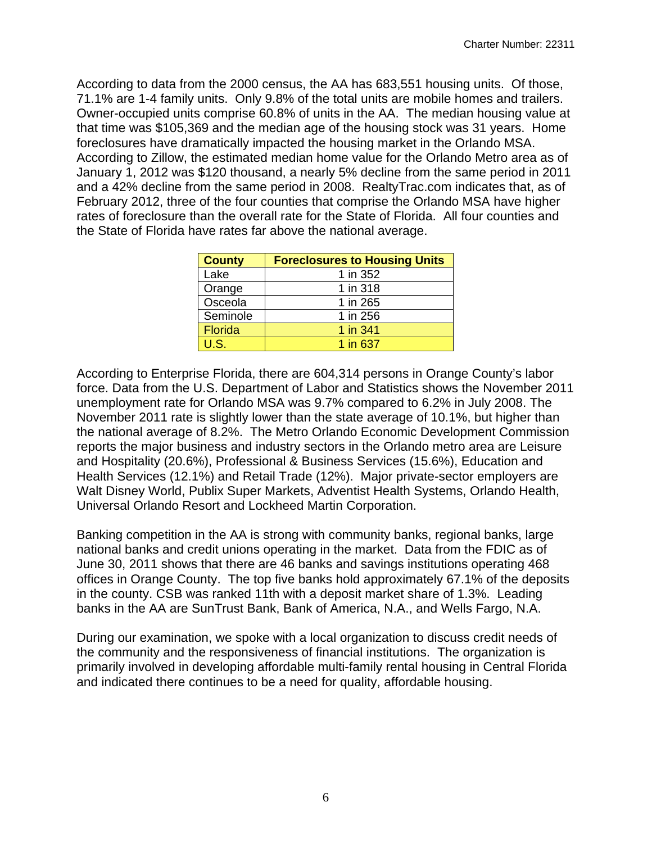According to data from the 2000 census, the AA has 683,551 housing units. Of those, 71.1% are 1-4 family units. Only 9.8% of the total units are mobile homes and trailers. Owner-occupied units comprise 60.8% of units in the AA. The median housing value at that time was \$105,369 and the median age of the housing stock was 31 years. Home foreclosures have dramatically impacted the housing market in the Orlando MSA. According to Zillow, the estimated median home value for the Orlando Metro area as of January 1, 2012 was \$120 thousand, a nearly 5% decline from the same period in 2011 and a 42% decline from the same period in 2008. RealtyTrac.com indicates that, as of February 2012, three of the four counties that comprise the Orlando MSA have higher rates of foreclosure than the overall rate for the State of Florida. All four counties and the State of Florida have rates far above the national average.

| <b>County</b>  | <b>Foreclosures to Housing Units</b> |
|----------------|--------------------------------------|
| Lake           | 1 in 352                             |
| Orange         | 1 in 318                             |
| Osceola        | 1 in 265                             |
| Seminole       | 1 in 256                             |
| <b>Florida</b> | 1 in 341                             |
| U.S.           | 1 in 637                             |

According to Enterprise Florida, there are 604,314 persons in Orange County's labor force. Data from the U.S. Department of Labor and Statistics shows the November 2011 unemployment rate for Orlando MSA was 9.7% compared to 6.2% in July 2008. The November 2011 rate is slightly lower than the state average of 10.1%, but higher than the national average of 8.2%. The Metro Orlando Economic Development Commission reports the major business and industry sectors in the Orlando metro area are Leisure and Hospitality (20.6%), Professional & Business Services (15.6%), Education and Health Services (12.1%) and Retail Trade (12%). Major private-sector employers are Walt Disney World, Publix Super Markets, Adventist Health Systems, Orlando Health, Universal Orlando Resort and Lockheed Martin Corporation.

Banking competition in the AA is strong with community banks, regional banks, large national banks and credit unions operating in the market. Data from the FDIC as of June 30, 2011 shows that there are 46 banks and savings institutions operating 468 offices in Orange County. The top five banks hold approximately 67.1% of the deposits in the county. CSB was ranked 11th with a deposit market share of 1.3%. Leading banks in the AA are SunTrust Bank, Bank of America, N.A., and Wells Fargo, N.A.

During our examination, we spoke with a local organization to discuss credit needs of the community and the responsiveness of financial institutions. The organization is primarily involved in developing affordable multi-family rental housing in Central Florida and indicated there continues to be a need for quality, affordable housing.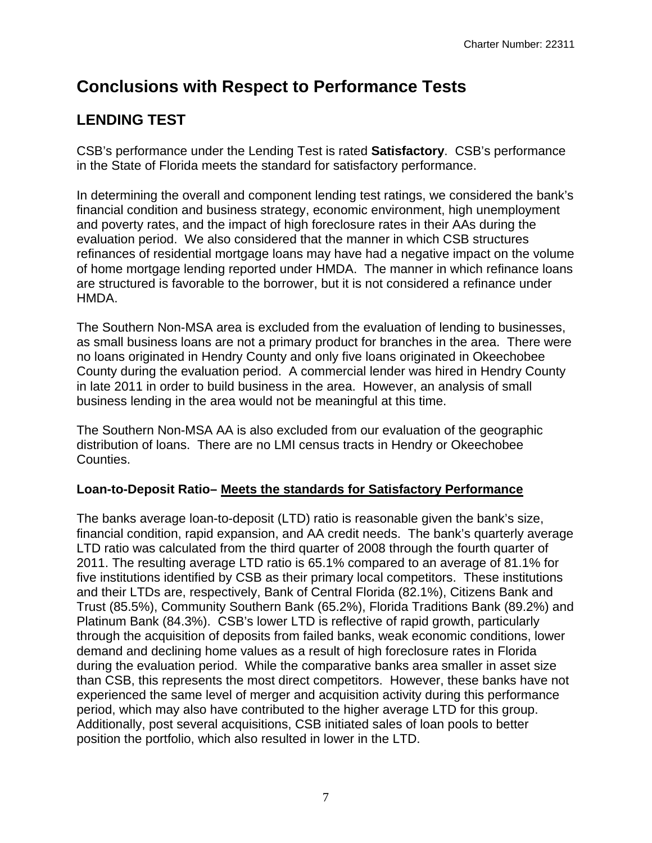# **Conclusions with Respect to Performance Tests**

# **LENDING TEST**

CSB's performance under the Lending Test is rated **Satisfactory**. CSB's performance in the State of Florida meets the standard for satisfactory performance.

In determining the overall and component lending test ratings, we considered the bank's financial condition and business strategy, economic environment, high unemployment and poverty rates, and the impact of high foreclosure rates in their AAs during the evaluation period. We also considered that the manner in which CSB structures refinances of residential mortgage loans may have had a negative impact on the volume of home mortgage lending reported under HMDA. The manner in which refinance loans are structured is favorable to the borrower, but it is not considered a refinance under HMDA.

The Southern Non-MSA area is excluded from the evaluation of lending to businesses, as small business loans are not a primary product for branches in the area. There were no loans originated in Hendry County and only five loans originated in Okeechobee County during the evaluation period. A commercial lender was hired in Hendry County in late 2011 in order to build business in the area. However, an analysis of small business lending in the area would not be meaningful at this time.

The Southern Non-MSA AA is also excluded from our evaluation of the geographic distribution of loans. There are no LMI census tracts in Hendry or Okeechobee Counties.

# **Loan-to-Deposit Ratio– Meets the standards for Satisfactory Performance**

The banks average loan-to-deposit (LTD) ratio is reasonable given the bank's size, financial condition, rapid expansion, and AA credit needs. The bank's quarterly average LTD ratio was calculated from the third quarter of 2008 through the fourth quarter of 2011. The resulting average LTD ratio is 65.1% compared to an average of 81.1% for five institutions identified by CSB as their primary local competitors. These institutions and their LTDs are, respectively, Bank of Central Florida (82.1%), Citizens Bank and Trust (85.5%), Community Southern Bank (65.2%), Florida Traditions Bank (89.2%) and Platinum Bank (84.3%). CSB's lower LTD is reflective of rapid growth, particularly through the acquisition of deposits from failed banks, weak economic conditions, lower demand and declining home values as a result of high foreclosure rates in Florida during the evaluation period. While the comparative banks area smaller in asset size than CSB, this represents the most direct competitors. However, these banks have not experienced the same level of merger and acquisition activity during this performance period, which may also have contributed to the higher average LTD for this group. Additionally, post several acquisitions, CSB initiated sales of loan pools to better position the portfolio, which also resulted in lower in the LTD.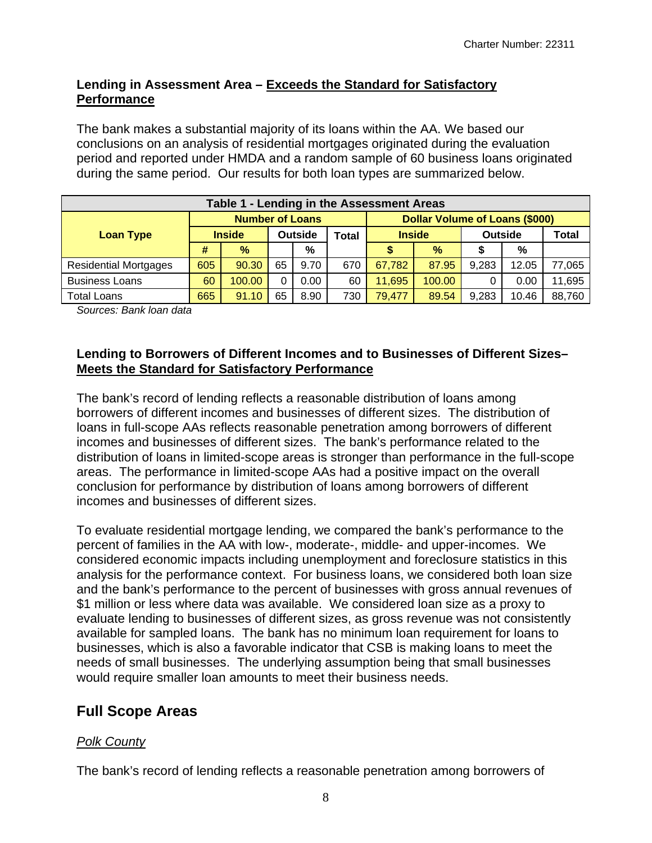### **Lending in Assessment Area – Exceeds the Standard for Satisfactory Performance**

The bank makes a substantial majority of its loans within the AA. We based our conclusions on an analysis of residential mortgages originated during the evaluation period and reported under HMDA and a random sample of 60 business loans originated during the same period. Our results for both loan types are summarized below.

| Table 1 - Lending in the Assessment Areas |                        |               |                |      |                                       |               |        |                |       |        |
|-------------------------------------------|------------------------|---------------|----------------|------|---------------------------------------|---------------|--------|----------------|-------|--------|
|                                           | <b>Number of Loans</b> |               |                |      | <b>Dollar Volume of Loans (\$000)</b> |               |        |                |       |        |
| <b>Loan Type</b>                          |                        | <b>Inside</b> | <b>Outside</b> |      | Total                                 | <b>Inside</b> |        | <b>Outside</b> |       | Total  |
|                                           | #                      | %             |                | %    |                                       |               | $\%$   |                | %     |        |
| <b>Residential Mortgages</b>              | 605                    | 90.30         | 65             | 9.70 | 670                                   | 67,782        | 87.95  | 9,283          | 12.05 | 77,065 |
| <b>Business Loans</b>                     | 60                     | 100.00        |                | 0.00 | 60                                    | 11,695        | 100.00 |                | 0.00  | 11,695 |
| <b>Total Loans</b>                        | 665                    | 91.10         | 65             | 8.90 | 730                                   | 79,477        | 89.54  | 9,283          | 10.46 | 88,760 |

*Sources: Bank loan data* 

#### **Lending to Borrowers of Different Incomes and to Businesses of Different Sizes– Meets the Standard for Satisfactory Performance**

The bank's record of lending reflects a reasonable distribution of loans among borrowers of different incomes and businesses of different sizes. The distribution of loans in full-scope AAs reflects reasonable penetration among borrowers of different incomes and businesses of different sizes. The bank's performance related to the distribution of loans in limited-scope areas is stronger than performance in the full-scope areas. The performance in limited-scope AAs had a positive impact on the overall conclusion for performance by distribution of loans among borrowers of different incomes and businesses of different sizes.

To evaluate residential mortgage lending, we compared the bank's performance to the percent of families in the AA with low-, moderate-, middle- and upper-incomes. We considered economic impacts including unemployment and foreclosure statistics in this analysis for the performance context. For business loans, we considered both loan size and the bank's performance to the percent of businesses with gross annual revenues of \$1 million or less where data was available. We considered loan size as a proxy to evaluate lending to businesses of different sizes, as gross revenue was not consistently available for sampled loans. The bank has no minimum loan requirement for loans to businesses, which is also a favorable indicator that CSB is making loans to meet the needs of small businesses. The underlying assumption being that small businesses would require smaller loan amounts to meet their business needs.

# **Full Scope Areas**

# *Polk County*

The bank's record of lending reflects a reasonable penetration among borrowers of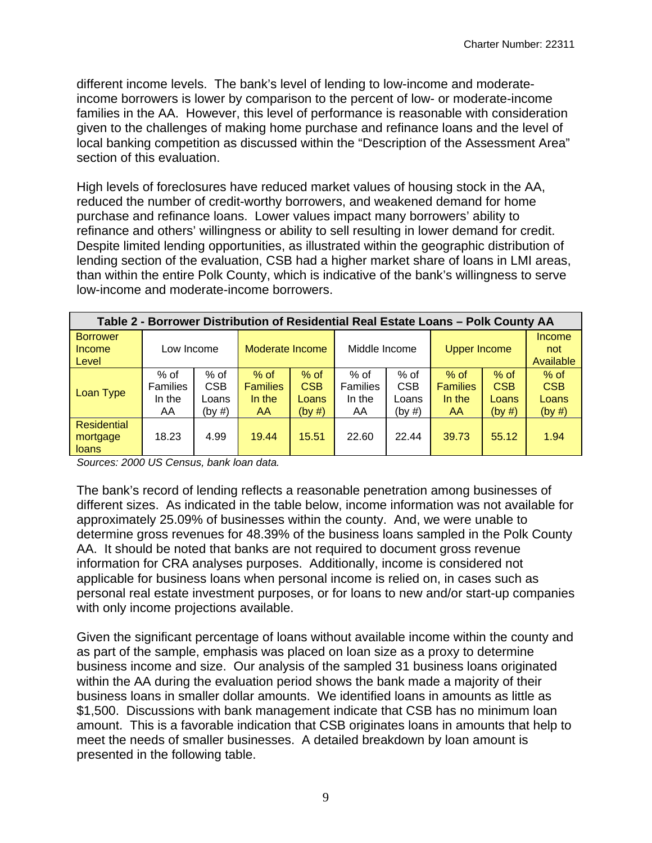different income levels. The bank's level of lending to low-income and moderateincome borrowers is lower by comparison to the percent of low- or moderate-income families in the AA. However, this level of performance is reasonable with consideration given to the challenges of making home purchase and refinance loans and the level of local banking competition as discussed within the "Description of the Assessment Area" section of this evaluation.

High levels of foreclosures have reduced market values of housing stock in the AA, reduced the number of credit-worthy borrowers, and weakened demand for home purchase and refinance loans. Lower values impact many borrowers' ability to refinance and others' willingness or ability to sell resulting in lower demand for credit. Despite limited lending opportunities, as illustrated within the geographic distribution of lending section of the evaluation, CSB had a higher market share of loans in LMI areas, than within the entire Polk County, which is indicative of the bank's willingness to serve low-income and moderate-income borrowers.

| Table 2 - Borrower Distribution of Residential Real Estate Loans - Polk County AA |                                          |                                         |                                           |                                         |                                           |                                         |                                                  |                                         |                                         |
|-----------------------------------------------------------------------------------|------------------------------------------|-----------------------------------------|-------------------------------------------|-----------------------------------------|-------------------------------------------|-----------------------------------------|--------------------------------------------------|-----------------------------------------|-----------------------------------------|
| <b>Borrower</b><br>Income<br>Level                                                | Low Income                               |                                         | Moderate Income                           |                                         | Middle Income                             |                                         | <b>Upper Income</b>                              |                                         | Income<br>not<br>Available              |
| Loan Type                                                                         | % of<br><b>Families</b><br>In the<br>AA. | $%$ of<br><b>CSB</b><br>Loans<br>(by #) | $%$ of<br><b>Families</b><br>In the<br>AA | $%$ of<br><b>CSB</b><br>Loans<br>(by #) | $%$ of<br><b>Families</b><br>In the<br>AA | $%$ of<br><b>CSB</b><br>Loans<br>(by #) | $%$ of<br><b>Families</b><br>In the<br><b>AA</b> | $%$ of<br><b>CSB</b><br>Loans<br>(by #) | $%$ of<br><b>CSB</b><br>Loans<br>(by #) |
| <b>Residential</b><br>mortgage<br><b>loans</b>                                    | 18.23                                    | 4.99                                    | 19.44                                     | 15.51                                   | 22.60                                     | 22.44                                   | 39.73                                            | 55.12                                   | 1.94                                    |

*Sources: 2000 US Census, bank loan data.* 

The bank's record of lending reflects a reasonable penetration among businesses of different sizes. As indicated in the table below, income information was not available for approximately 25.09% of businesses within the county. And, we were unable to determine gross revenues for 48.39% of the business loans sampled in the Polk County AA. It should be noted that banks are not required to document gross revenue information for CRA analyses purposes. Additionally, income is considered not applicable for business loans when personal income is relied on, in cases such as personal real estate investment purposes, or for loans to new and/or start-up companies with only income projections available.

Given the significant percentage of loans without available income within the county and as part of the sample, emphasis was placed on loan size as a proxy to determine business income and size. Our analysis of the sampled 31 business loans originated within the AA during the evaluation period shows the bank made a majority of their business loans in smaller dollar amounts. We identified loans in amounts as little as \$1,500. Discussions with bank management indicate that CSB has no minimum loan amount. This is a favorable indication that CSB originates loans in amounts that help to meet the needs of smaller businesses. A detailed breakdown by loan amount is presented in the following table.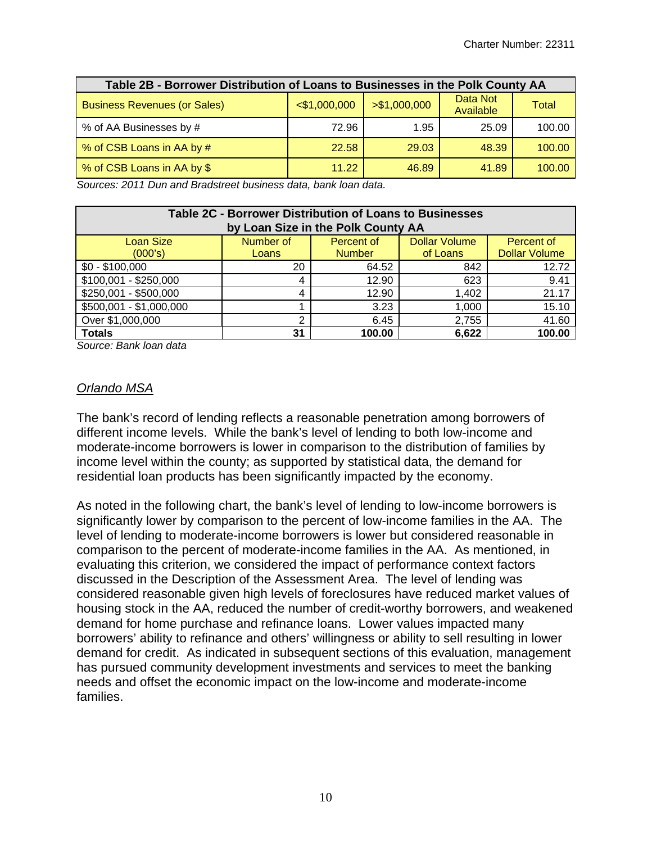| Table 2B - Borrower Distribution of Loans to Businesses in the Polk County AA |                 |               |                       |        |  |  |  |  |  |
|-------------------------------------------------------------------------------|-----------------|---------------|-----------------------|--------|--|--|--|--|--|
| <b>Business Revenues (or Sales)</b>                                           | $<$ \$1,000,000 | > \$1,000,000 | Data Not<br>Available | Total  |  |  |  |  |  |
| % of AA Businesses by #                                                       | 72.96           | 1.95          | 25.09                 | 100.00 |  |  |  |  |  |
| % of CSB Loans in AA by #                                                     | 22.58           | 29.03         | 48.39                 | 100.00 |  |  |  |  |  |
| % of CSB Loans in AA by \$                                                    | 11.22           | 46.89         | 41.89                 | 100.00 |  |  |  |  |  |

*Sources: 2011 Dun and Bradstreet business data, bank loan data.* 

| Table 2C - Borrower Distribution of Loans to Businesses<br>by Loan Size in the Polk County AA |       |               |          |                      |  |  |  |  |  |
|-----------------------------------------------------------------------------------------------|-------|---------------|----------|----------------------|--|--|--|--|--|
| Number of<br><b>Loan Size</b><br><b>Dollar Volume</b><br>Percent of<br>Percent of             |       |               |          |                      |  |  |  |  |  |
| (000's)                                                                                       | Loans | <b>Number</b> | of Loans | <b>Dollar Volume</b> |  |  |  |  |  |
| $$0 - $100,000$                                                                               | 20    | 64.52         | 842      | 12.72                |  |  |  |  |  |
| $$100,001 - $250,000$                                                                         | 4     | 12.90         | 623      | 9.41                 |  |  |  |  |  |
| \$250,001 - \$500,000                                                                         | 4     | 12.90         | 1,402    | 21.17                |  |  |  |  |  |
| \$500,001 - \$1,000,000                                                                       |       | 3.23          | 1,000    | 15.10                |  |  |  |  |  |
| Over \$1,000,000                                                                              | ົ     | 6.45          | 2,755    | 41.60                |  |  |  |  |  |
| <b>Totals</b>                                                                                 | 31    | 100.00        | 6,622    | 100.00               |  |  |  |  |  |

*Source: Bank loan data* 

#### *Orlando MSA*

The bank's record of lending reflects a reasonable penetration among borrowers of different income levels. While the bank's level of lending to both low-income and moderate-income borrowers is lower in comparison to the distribution of families by income level within the county; as supported by statistical data, the demand for residential loan products has been significantly impacted by the economy.

As noted in the following chart, the bank's level of lending to low-income borrowers is significantly lower by comparison to the percent of low-income families in the AA. The level of lending to moderate-income borrowers is lower but considered reasonable in comparison to the percent of moderate-income families in the AA. As mentioned, in evaluating this criterion, we considered the impact of performance context factors discussed in the Description of the Assessment Area. The level of lending was considered reasonable given high levels of foreclosures have reduced market values of housing stock in the AA, reduced the number of credit-worthy borrowers, and weakened demand for home purchase and refinance loans. Lower values impacted many borrowers' ability to refinance and others' willingness or ability to sell resulting in lower demand for credit. As indicated in subsequent sections of this evaluation, management has pursued community development investments and services to meet the banking needs and offset the economic impact on the low-income and moderate-income families.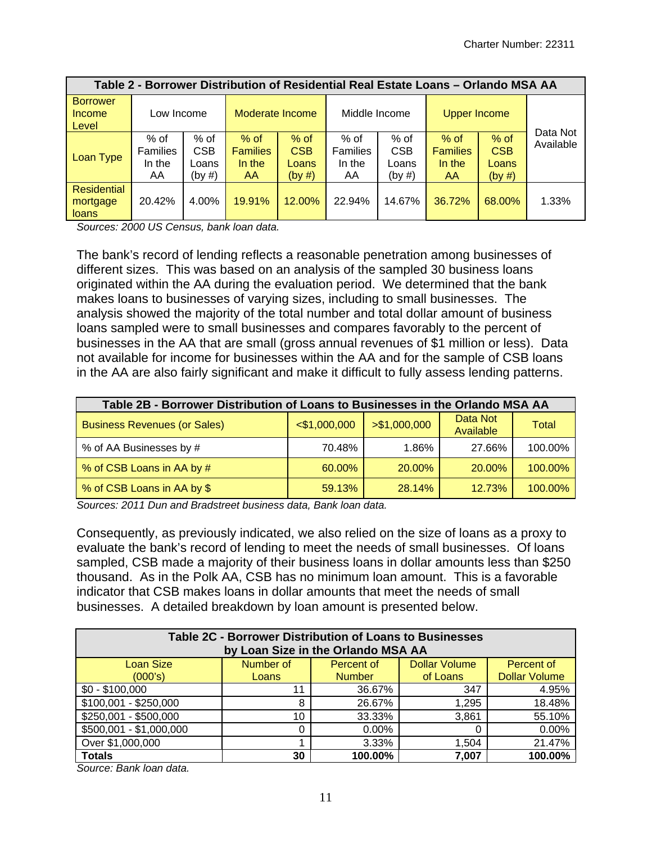| Table 2 - Borrower Distribution of Residential Real Estate Loans - Orlando MSA AA |                                         |                                       |                                            |                                         |                                         |                                       |                                            |                                         |           |
|-----------------------------------------------------------------------------------|-----------------------------------------|---------------------------------------|--------------------------------------------|-----------------------------------------|-----------------------------------------|---------------------------------------|--------------------------------------------|-----------------------------------------|-----------|
| <b>Borrower</b><br>Income<br>Level                                                | Low Income                              |                                       | Moderate Income                            |                                         | Middle Income                           |                                       | <b>Upper Income</b>                        |                                         | Data Not  |
| Loan Type                                                                         | % of<br><b>Families</b><br>In the<br>AA | % of<br><b>CSB</b><br>Loans<br>(by #) | $%$ of<br><b>Families</b><br>In the<br>AA. | $%$ of<br><b>CSB</b><br>Loans<br>(by #) | % of<br><b>Families</b><br>In the<br>AA | % of<br><b>CSB</b><br>Loans<br>(by #) | $%$ of<br><b>Families</b><br>In the<br>AA. | $%$ of<br><b>CSB</b><br>Loans<br>(by #) | Available |
| Residential<br>mortgage<br><b>loans</b>                                           | 20.42%                                  | 4.00%                                 | 19.91%                                     | 12.00%                                  | 22.94%                                  | 14.67%                                | 36.72%                                     | 68.00%                                  | 1.33%     |

*Sources: 2000 US Census, bank loan data.* 

The bank's record of lending reflects a reasonable penetration among businesses of different sizes. This was based on an analysis of the sampled 30 business loans originated within the AA during the evaluation period. We determined that the bank makes loans to businesses of varying sizes, including to small businesses. The analysis showed the majority of the total number and total dollar amount of business loans sampled were to small businesses and compares favorably to the percent of businesses in the AA that are small (gross annual revenues of \$1 million or less). Data not available for income for businesses within the AA and for the sample of CSB loans in the AA are also fairly significant and make it difficult to fully assess lending patterns.

| Table 2B - Borrower Distribution of Loans to Businesses in the Orlando MSA AA |                 |               |                       |         |  |  |  |  |  |  |
|-------------------------------------------------------------------------------|-----------------|---------------|-----------------------|---------|--|--|--|--|--|--|
| <b>Business Revenues (or Sales)</b>                                           | $<$ \$1,000,000 | > \$1,000,000 | Data Not<br>Available | Total   |  |  |  |  |  |  |
| % of AA Businesses by #                                                       | 70.48%          | 1.86%         | 27.66%                | 100.00% |  |  |  |  |  |  |
| % of CSB Loans in AA by #                                                     | 60.00%          | 20.00%        | 20.00%                | 100.00% |  |  |  |  |  |  |
| % of CSB Loans in AA by \$                                                    | 59.13%          | 28.14%        | 12.73%                | 100.00% |  |  |  |  |  |  |

*Sources: 2011 Dun and Bradstreet business data, Bank loan data.* 

Consequently, as previously indicated, we also relied on the size of loans as a proxy to evaluate the bank's record of lending to meet the needs of small businesses. Of loans sampled, CSB made a majority of their business loans in dollar amounts less than \$250 thousand. As in the Polk AA, CSB has no minimum loan amount. This is a favorable indicator that CSB makes loans in dollar amounts that meet the needs of small businesses. A detailed breakdown by loan amount is presented below.

| Table 2C - Borrower Distribution of Loans to Businesses<br>by Loan Size in the Orlando MSA AA<br>Number of |                      |               |          |                      |  |  |  |  |  |  |
|------------------------------------------------------------------------------------------------------------|----------------------|---------------|----------|----------------------|--|--|--|--|--|--|
| <b>Loan Size</b>                                                                                           | <b>Dollar Volume</b> | Percent of    |          |                      |  |  |  |  |  |  |
| (000's)                                                                                                    | Loans                | <b>Number</b> | of Loans | <b>Dollar Volume</b> |  |  |  |  |  |  |
| $$0 - $100,000$                                                                                            | 11                   | 36.67%        | 347      | 4.95%                |  |  |  |  |  |  |
| $$100,001 - $250,000$                                                                                      | 8                    | 26.67%        | 1,295    | 18.48%               |  |  |  |  |  |  |
| \$250,001 - \$500,000                                                                                      | 10                   | 33.33%        | 3,861    | 55.10%               |  |  |  |  |  |  |
| \$500,001 - \$1,000,000                                                                                    |                      | $0.00\%$      | 0        | 0.00%                |  |  |  |  |  |  |
| Over \$1,000,000                                                                                           |                      | $3.33\%$      | 1.504    | 21.47%               |  |  |  |  |  |  |
| <b>Totals</b>                                                                                              | 30                   | 100.00%       | 7,007    | 100.00%              |  |  |  |  |  |  |

*Source: Bank loan data.*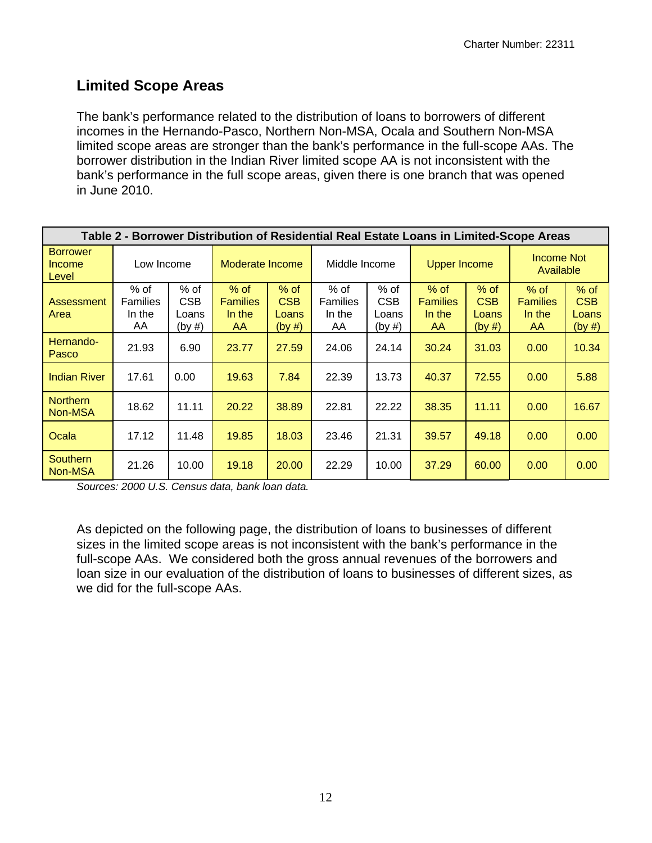# **Limited Scope Areas**

The bank's performance related to the distribution of loans to borrowers of different incomes in the Hernando-Pasco, Northern Non-MSA, Ocala and Southern Non-MSA limited scope areas are stronger than the bank's performance in the full-scope AAs. The borrower distribution in the Indian River limited scope AA is not inconsistent with the bank's performance in the full scope areas, given there is one branch that was opened in June 2010.

|                                    |                                         |                                         |                                           |                                         |                                         |                                       |                                           |                                  | Table 2 - Borrower Distribution of Residential Real Estate Loans in Limited-Scope Areas |                                         |
|------------------------------------|-----------------------------------------|-----------------------------------------|-------------------------------------------|-----------------------------------------|-----------------------------------------|---------------------------------------|-------------------------------------------|----------------------------------|-----------------------------------------------------------------------------------------|-----------------------------------------|
| <b>Borrower</b><br>Income<br>Level | Low Income                              |                                         | Moderate Income                           |                                         | Middle Income                           |                                       | <b>Upper Income</b>                       |                                  | Income Not<br>Available                                                                 |                                         |
| Assessment<br>Area                 | % of<br><b>Families</b><br>In the<br>AA | $%$ of<br><b>CSB</b><br>Loans<br>(by #) | $%$ of<br><b>Families</b><br>In the<br>AA | $%$ of<br><b>CSB</b><br>Loans<br>(by #) | % of<br><b>Families</b><br>In the<br>AA | % of<br><b>CSB</b><br>Loans<br>(by #) | $%$ of<br><b>Families</b><br>In the<br>AA | $%$ of<br>CSB<br>Loans<br>(by #) | $%$ of<br><b>Families</b><br>In the<br>AA                                               | $%$ of<br><b>CSB</b><br>Loans<br>(by #) |
| Hernando-<br>Pasco                 | 21.93                                   | 6.90                                    | 23.77                                     | 27.59                                   | 24.06                                   | 24.14                                 | 30.24                                     | 31.03                            | 0.00                                                                                    | 10.34                                   |
| <b>Indian River</b>                | 17.61                                   | 0.00                                    | 19.63                                     | 7.84                                    | 22.39                                   | 13.73                                 | 40.37                                     | 72.55                            | 0.00                                                                                    | 5.88                                    |
| <b>Northern</b><br>Non-MSA         | 18.62                                   | 11.11                                   | 20.22                                     | 38.89                                   | 22.81                                   | 22.22                                 | 38.35                                     | 11.11                            | 0.00                                                                                    | 16.67                                   |
| Ocala                              | 17.12                                   | 11.48                                   | 19.85                                     | 18.03                                   | 23.46                                   | 21.31                                 | 39.57                                     | 49.18                            | 0.00                                                                                    | 0.00                                    |
| <b>Southern</b><br>Non-MSA         | 21.26                                   | 10.00                                   | 19.18                                     | 20.00                                   | 22.29                                   | 10.00                                 | 37.29                                     | 60.00                            | 0.00                                                                                    | 0.00                                    |

*Sources: 2000 U.S. Census data, bank loan data.* 

As depicted on the following page, the distribution of loans to businesses of different sizes in the limited scope areas is not inconsistent with the bank's performance in the full-scope AAs. We considered both the gross annual revenues of the borrowers and loan size in our evaluation of the distribution of loans to businesses of different sizes, as we did for the full-scope AAs.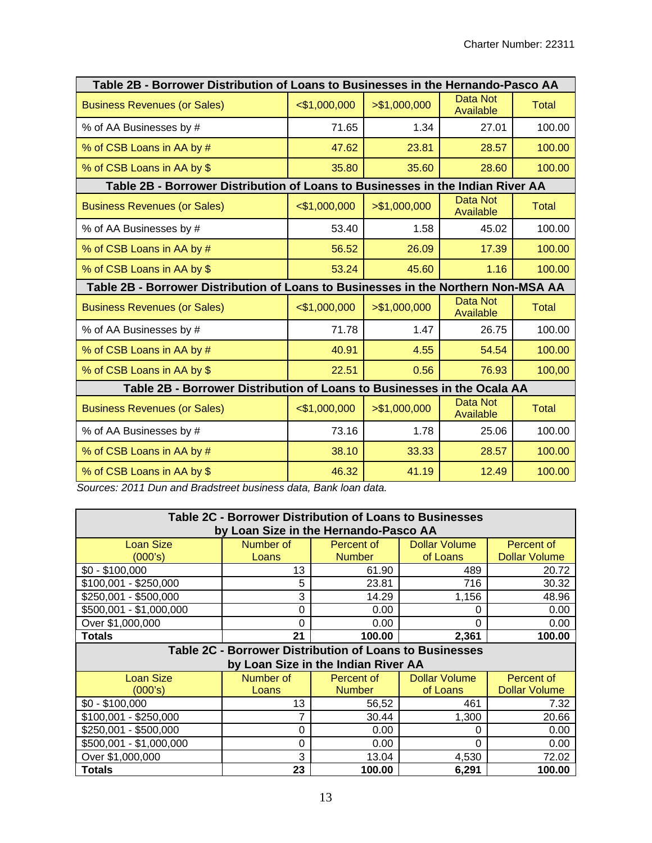| Table 2B - Borrower Distribution of Loans to Businesses in the Hernando-Pasco AA   |                 |               |                              |              |
|------------------------------------------------------------------------------------|-----------------|---------------|------------------------------|--------------|
| <b>Business Revenues (or Sales)</b>                                                | $<$ \$1,000,000 | > \$1,000,000 | <b>Data Not</b><br>Available | <b>Total</b> |
| % of AA Businesses by #                                                            | 71.65           | 1.34          | 27.01                        | 100.00       |
| % of CSB Loans in AA by #                                                          | 47.62           | 23.81         | 28.57                        | 100.00       |
| % of CSB Loans in AA by \$                                                         | 35.80           | 35.60         | 28.60                        | 100.00       |
| Table 2B - Borrower Distribution of Loans to Businesses in the Indian River AA     |                 |               |                              |              |
| <b>Business Revenues (or Sales)</b>                                                | $<$ \$1,000,000 | > \$1,000,000 | Data Not<br>Available        | <b>Total</b> |
| % of AA Businesses by #                                                            | 53.40           | 1.58          | 45.02                        | 100.00       |
| % of CSB Loans in AA by #                                                          | 56.52           | 26.09         | 17.39                        | 100.00       |
| % of CSB Loans in AA by \$                                                         | 53.24           | 45.60         | 1.16                         | 100.00       |
| Table 2B - Borrower Distribution of Loans to Businesses in the Northern Non-MSA AA |                 |               |                              |              |
| <b>Business Revenues (or Sales)</b>                                                | $<$ \$1,000,000 | > \$1,000,000 | Data Not<br>Available        | <b>Total</b> |
| % of AA Businesses by #                                                            | 71.78           | 1.47          | 26.75                        | 100.00       |
| % of CSB Loans in AA by #                                                          | 40.91           | 4.55          | 54.54                        | 100.00       |
| % of CSB Loans in AA by \$                                                         | 22.51           | 0.56          | 76.93                        | 100,00       |
| Table 2B - Borrower Distribution of Loans to Businesses in the Ocala AA            |                 |               |                              |              |
| <b>Business Revenues (or Sales)</b>                                                | $<$ \$1,000,000 | > \$1,000,000 | <b>Data Not</b><br>Available | <b>Total</b> |
| % of AA Businesses by #                                                            | 73.16           | 1.78          | 25.06                        | 100.00       |
| % of CSB Loans in AA by #                                                          | 38.10           | 33.33         | 28.57                        | 100.00       |
| % of CSB Loans in AA by \$                                                         | 46.32           | 41.19         | 12.49                        | 100.00       |

*Sources: 2011 Dun and Bradstreet business data, Bank loan data.* 

|                         | Table 2C - Borrower Distribution of Loans to Businesses |                                     |                      |                      |  |
|-------------------------|---------------------------------------------------------|-------------------------------------|----------------------|----------------------|--|
|                         | by Loan Size in the Hernando-Pasco AA                   |                                     |                      |                      |  |
| Loan Size               | Number of                                               | Percent of                          | <b>Dollar Volume</b> | Percent of           |  |
| (000's)                 | Loans                                                   | <b>Number</b>                       | of Loans             | <b>Dollar Volume</b> |  |
| $$0 - $100,000$         | 13                                                      | 61.90                               | 489                  | 20.72                |  |
| $$100,001 - $250,000$   | 5                                                       | 23.81                               | 716                  | 30.32                |  |
| \$250,001 - \$500,000   | 3                                                       | 14.29                               | 1,156                | 48.96                |  |
| \$500,001 - \$1,000,000 | 0                                                       | 0.00                                | 0                    | 0.00                 |  |
| Over \$1,000,000        | $\Omega$                                                | 0.00                                | 0                    | 0.00                 |  |
| <b>Totals</b>           | 21                                                      | 100.00                              | 2,361                | 100.00               |  |
|                         | Table 2C - Borrower Distribution of Loans to Businesses |                                     |                      |                      |  |
|                         |                                                         | by Loan Size in the Indian River AA |                      |                      |  |
| <b>Loan Size</b>        | Number of                                               | Percent of                          | <b>Dollar Volume</b> | Percent of           |  |
| (000's)                 | Loans                                                   | <b>Number</b>                       | of Loans             | <b>Dollar Volume</b> |  |
| $$0 - $100,000$         | 13                                                      | 56,52                               | 461                  | 7.32                 |  |
| $$100,001 - $250,000$   | 7                                                       | 30.44                               | 1,300                | 20.66                |  |
| $$250,001 - $500,000$   | $\Omega$                                                | 0.00                                | 0                    | 0.00                 |  |
| \$500,001 - \$1,000,000 | 0                                                       | 0.00                                | 0                    | 0.00                 |  |
| Over \$1,000,000        | 3                                                       | 13.04                               | 4,530                | 72.02                |  |
| <b>Totals</b>           | 23                                                      | 100.00                              | 6,291                | 100.00               |  |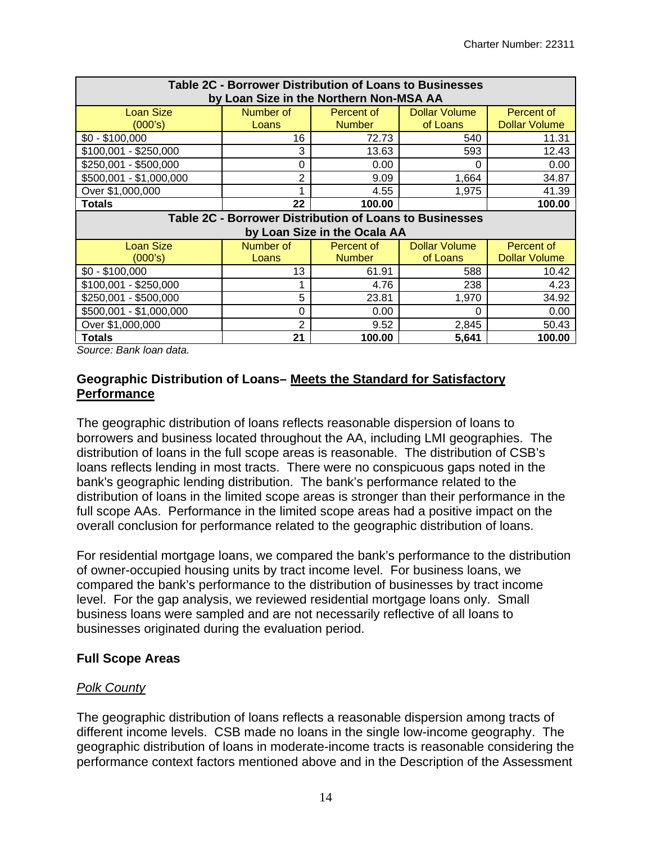| Table 2C - Borrower Distribution of Loans to Businesses<br>by Loan Size in the Northern Non-MSA AA |                |                              |                      |                      |  |  |  |  |  |  |
|----------------------------------------------------------------------------------------------------|----------------|------------------------------|----------------------|----------------------|--|--|--|--|--|--|
| <b>Loan Size</b>                                                                                   | Number of      | Percent of                   | <b>Dollar Volume</b> | Percent of           |  |  |  |  |  |  |
| (000's)                                                                                            | Loans          | <b>Number</b>                | of Loans             | <b>Dollar Volume</b> |  |  |  |  |  |  |
| $$0 - $100,000$                                                                                    | 16             | 72.73                        | 540                  | 11.31                |  |  |  |  |  |  |
| $$100,001 - $250,000$                                                                              | 3              | 13.63                        | 593                  | 12.43                |  |  |  |  |  |  |
| \$250,001 - \$500,000                                                                              | 0              | 0.00                         | 0                    | 0.00                 |  |  |  |  |  |  |
| \$500,001 - \$1,000,000                                                                            | $\overline{2}$ | 9.09                         | 1,664                | 34.87                |  |  |  |  |  |  |
| Over \$1,000,000                                                                                   |                | 4.55                         | 1,975                | 41.39                |  |  |  |  |  |  |
| Totals                                                                                             | 22             | 100.00                       |                      | 100.00               |  |  |  |  |  |  |
| Table 2C - Borrower Distribution of Loans to Businesses                                            |                |                              |                      |                      |  |  |  |  |  |  |
|                                                                                                    |                |                              |                      |                      |  |  |  |  |  |  |
|                                                                                                    |                | by Loan Size in the Ocala AA |                      |                      |  |  |  |  |  |  |
| <b>Loan Size</b>                                                                                   | Number of      | Percent of                   | <b>Dollar Volume</b> | Percent of           |  |  |  |  |  |  |
| (000's)                                                                                            | Loans          | <b>Number</b>                | of Loans             | <b>Dollar Volume</b> |  |  |  |  |  |  |
| $$0 - $100,000$                                                                                    | 13             | 61.91                        | 588                  | 10.42                |  |  |  |  |  |  |
| $$100,001 - $250,000$                                                                              |                | 4.76                         | 238                  | 4.23                 |  |  |  |  |  |  |
| \$250,001 - \$500,000                                                                              | 5              | 23.81                        | 1,970                | 34.92                |  |  |  |  |  |  |
| \$500,001 - \$1,000,000                                                                            | 0              | 0.00                         | 0                    | 0.00                 |  |  |  |  |  |  |
| Over \$1,000,000                                                                                   | 2              | 9.52                         | 2,845                | 50.43                |  |  |  |  |  |  |

*Source: Bank loan data.* 

#### **Geographic Distribution of Loans– Meets the Standard for Satisfactory Performance**

The geographic distribution of loans reflects reasonable dispersion of loans to borrowers and business located throughout the AA, including LMI geographies. The distribution of loans in the full scope areas is reasonable. The distribution of CSB's loans reflects lending in most tracts. There were no conspicuous gaps noted in the bank's geographic lending distribution. The bank's performance related to the distribution of loans in the limited scope areas is stronger than their performance in the full scope AAs. Performance in the limited scope areas had a positive impact on the overall conclusion for performance related to the geographic distribution of loans.

For residential mortgage loans, we compared the bank's performance to the distribution of owner-occupied housing units by tract income level. For business loans, we compared the bank's performance to the distribution of businesses by tract income level. For the gap analysis, we reviewed residential mortgage loans only. Small business loans were sampled and are not necessarily reflective of all loans to businesses originated during the evaluation period.

#### **Full Scope Areas**

# *Polk County*

The geographic distribution of loans reflects a reasonable dispersion among tracts of different income levels. CSB made no loans in the single low-income geography. The geographic distribution of loans in moderate-income tracts is reasonable considering the performance context factors mentioned above and in the Description of the Assessment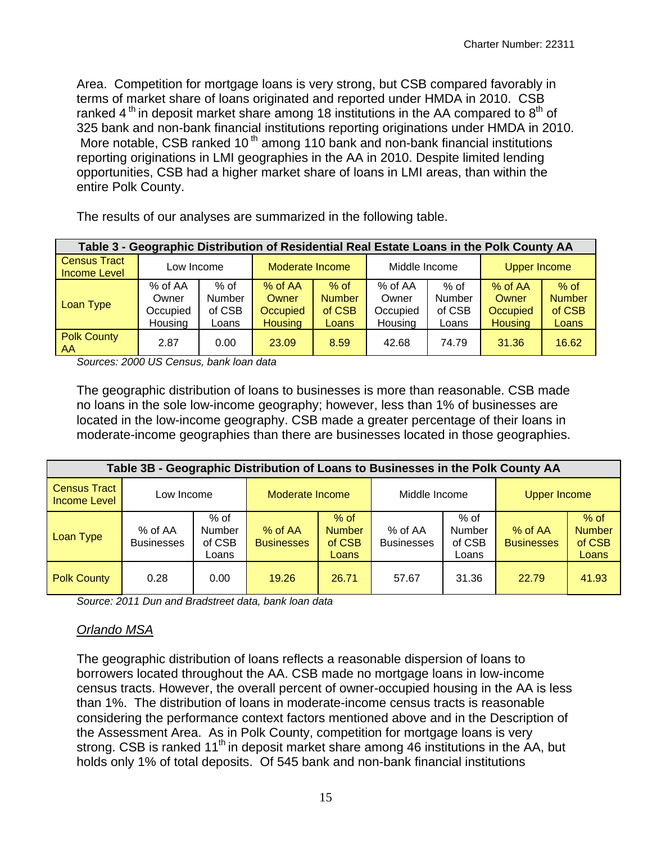Area. Competition for mortgage loans is very strong, but CSB compared favorably in terms of market share of loans originated and reported under HMDA in 2010. CSB ranked 4<sup>th</sup> in deposit market share among 18 institutions in the AA compared to  $8<sup>th</sup>$  of 325 bank and non-bank financial institutions reporting originations under HMDA in 2010. More notable, CSB ranked 10<sup>th</sup> among 110 bank and non-bank financial institutions reporting originations in LMI geographies in the AA in 2010. Despite limited lending opportunities, CSB had a higher market share of loans in LMI areas, than within the entire Polk County.

| Table 3 - Geographic Distribution of Residential Real Estate Loans in the Polk County AA |                                           |                                     |                                                  |                                            |                                         |                                   |                                                |                                            |  |  |  |
|------------------------------------------------------------------------------------------|-------------------------------------------|-------------------------------------|--------------------------------------------------|--------------------------------------------|-----------------------------------------|-----------------------------------|------------------------------------------------|--------------------------------------------|--|--|--|
| <b>Census Tract</b><br><b>Income Level</b>                                               | Low Income                                |                                     | Moderate Income                                  |                                            | Middle Income                           |                                   | <b>Upper Income</b>                            |                                            |  |  |  |
| Loan Type                                                                                | $%$ of AA<br>Owner<br>Occupied<br>Housing | $%$ of<br>Number<br>of CSB<br>Loans | $%$ of AA<br>Owner<br>Occupied<br><b>Housing</b> | $%$ of<br><b>Number</b><br>of CSB<br>Loans | % of AA<br>Owner<br>Occupied<br>Housing | % of<br>Number<br>of CSB<br>Loans | % of AA<br>Owner<br>Occupied<br><b>Housing</b> | $%$ of<br><b>Number</b><br>of CSB<br>Loans |  |  |  |
| <b>Polk County</b><br><b>AA</b>                                                          | 2.87                                      | 0.00                                | 23.09                                            | 8.59                                       | 42.68                                   | 74.79                             | 31.36                                          | 16.62                                      |  |  |  |

The results of our analyses are summarized in the following table.

*Sources: 2000 US Census, bank loan data* 

The geographic distribution of loans to businesses is more than reasonable. CSB made no loans in the sole low-income geography; however, less than 1% of businesses are located in the low-income geography. CSB made a greater percentage of their loans in moderate-income geographies than there are businesses located in those geographies.

| Table 3B - Geographic Distribution of Loans to Businesses in the Polk County AA |                              |                                     |                                                                                     |       |                              |                                   |                     |                                            |  |  |  |
|---------------------------------------------------------------------------------|------------------------------|-------------------------------------|-------------------------------------------------------------------------------------|-------|------------------------------|-----------------------------------|---------------------|--------------------------------------------|--|--|--|
| <b>Census Tract</b><br>Income Level                                             | Low Income                   |                                     | Moderate Income                                                                     |       | Middle Income                |                                   | <b>Upper Income</b> |                                            |  |  |  |
| Loan Type                                                                       | % of AA<br><b>Businesses</b> | $%$ of<br>Number<br>of CSB<br>Loans | $%$ of<br>$%$ of AA<br><b>Number</b><br><b>Businesses</b><br>of CSB<br><b>Loans</b> |       | % of AA<br><b>Businesses</b> | % of<br>Number<br>of CSB<br>Loans |                     | $%$ of<br><b>Number</b><br>of CSB<br>Loans |  |  |  |
| <b>Polk County</b>                                                              | 0.28                         | 0.00                                | 19.26                                                                               | 26.71 | 57.67                        | 31.36                             | 22.79               | 41.93                                      |  |  |  |

*Source: 2011 Dun and Bradstreet data, bank loan data* 

# *Orlando MSA*

The geographic distribution of loans reflects a reasonable dispersion of loans to borrowers located throughout the AA. CSB made no mortgage loans in low-income census tracts. However, the overall percent of owner-occupied housing in the AA is less than 1%. The distribution of loans in moderate-income census tracts is reasonable considering the performance context factors mentioned above and in the Description of the Assessment Area. As in Polk County, competition for mortgage loans is very strong. CSB is ranked 11<sup>th</sup> in deposit market share among 46 institutions in the AA, but holds only 1% of total deposits. Of 545 bank and non-bank financial institutions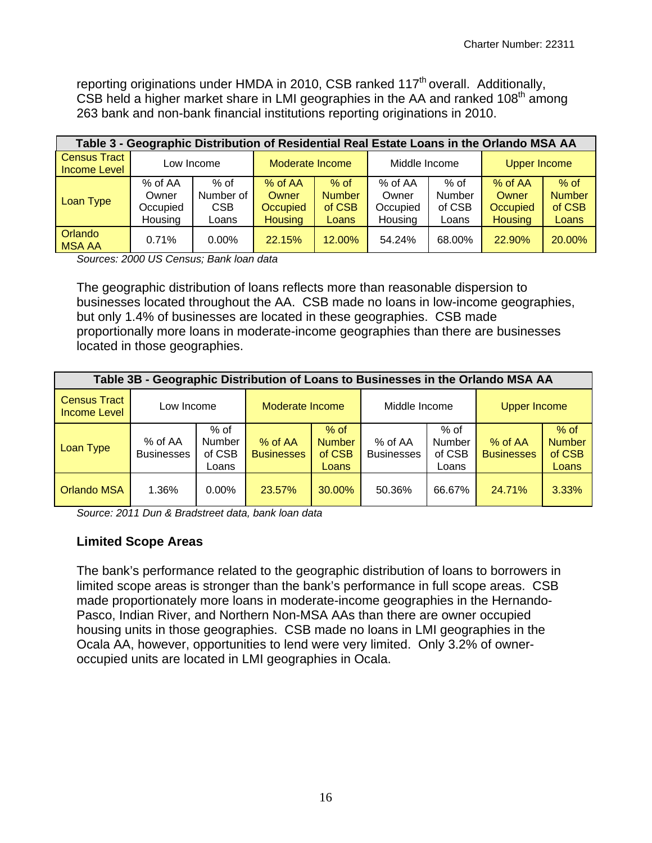reporting originations under HMDA in 2010, CSB ranked  $117<sup>th</sup>$  overall. Additionally, CSB held a higher market share in LMI geographies in the AA and ranked 108<sup>th</sup> among 263 bank and non-bank financial institutions reporting originations in 2010.

| Table 3 - Geographic Distribution of Residential Real Estate Loans in the Orlando MSA AA |                                         |                                          |                                                  |                                            |                                         |                                     |                                                |                                            |  |  |  |
|------------------------------------------------------------------------------------------|-----------------------------------------|------------------------------------------|--------------------------------------------------|--------------------------------------------|-----------------------------------------|-------------------------------------|------------------------------------------------|--------------------------------------------|--|--|--|
| <b>Census Tract</b><br><b>Income Level</b>                                               | Low Income                              |                                          | Moderate Income                                  |                                            | Middle Income                           |                                     | <b>Upper Income</b>                            |                                            |  |  |  |
| Loan Type                                                                                | % of AA<br>Owner<br>Occupied<br>Housing | % of<br>Number of<br><b>CSB</b><br>Loans | $%$ of AA<br>Owner<br>Occupied<br><b>Housing</b> | $%$ of<br><b>Number</b><br>of CSB<br>Loans | % of AA<br>Owner<br>Occupied<br>Housing | $%$ of<br>Number<br>of CSB<br>Loans | % of AA<br>Owner<br>Occupied<br><b>Housing</b> | $%$ of<br><b>Number</b><br>of CSB<br>Loans |  |  |  |
| Orlando<br><b>MSA AA</b>                                                                 | 0.71%                                   | $0.00\%$                                 | 22.15%                                           | 12.00%                                     | 54.24%                                  | 68.00%                              | 22.90%                                         | 20.00%                                     |  |  |  |

*Sources: 2000 US Census; Bank loan data* 

The geographic distribution of loans reflects more than reasonable dispersion to businesses located throughout the AA. CSB made no loans in low-income geographies, but only 1.4% of businesses are located in these geographies. CSB made proportionally more loans in moderate-income geographies than there are businesses located in those geographies.

| Table 3B - Geographic Distribution of Loans to Businesses in the Orlando MSA AA |                              |                                   |                              |                                                                            |               |                                   |                              |                                            |  |  |  |
|---------------------------------------------------------------------------------|------------------------------|-----------------------------------|------------------------------|----------------------------------------------------------------------------|---------------|-----------------------------------|------------------------------|--------------------------------------------|--|--|--|
| <b>Census Tract</b><br><b>Income Level</b>                                      | Low Income                   |                                   | Moderate Income              |                                                                            | Middle Income |                                   | <b>Upper Income</b>          |                                            |  |  |  |
| Loan Type                                                                       | % of AA<br><b>Businesses</b> | % of<br>Number<br>of CSB<br>Loans | % of AA<br><b>Businesses</b> | $%$ of<br><b>Number</b><br>% of AA<br><b>Businesses</b><br>of CSB<br>Loans |               | % of<br>Number<br>of CSB<br>Loans | % of AA<br><b>Businesses</b> | $%$ of<br><b>Number</b><br>of CSB<br>Loans |  |  |  |
| <b>Orlando MSA</b>                                                              | 1.36%                        | $0.00\%$                          | 23.57%                       | 30.00%                                                                     | 50.36%        | 66.67%                            | 24.71%                       | $3.33\%$                                   |  |  |  |

*Source: 2011 Dun & Bradstreet data, bank loan data* 

# **Limited Scope Areas**

The bank's performance related to the geographic distribution of loans to borrowers in limited scope areas is stronger than the bank's performance in full scope areas. CSB made proportionately more loans in moderate-income geographies in the Hernando-Pasco, Indian River, and Northern Non-MSA AAs than there are owner occupied housing units in those geographies. CSB made no loans in LMI geographies in the Ocala AA, however, opportunities to lend were very limited. Only 3.2% of owneroccupied units are located in LMI geographies in Ocala.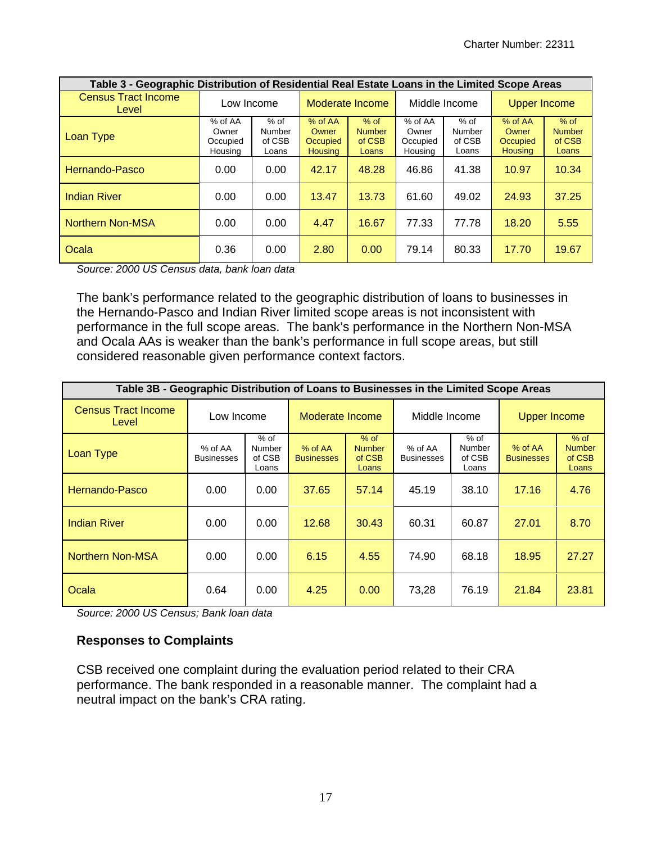| Table 3 - Geographic Distribution of Residential Real Estate Loans in the Limited Scope Areas |                                         |                                            |                                                |                                            |                                         |                                     |                                                |                                            |  |
|-----------------------------------------------------------------------------------------------|-----------------------------------------|--------------------------------------------|------------------------------------------------|--------------------------------------------|-----------------------------------------|-------------------------------------|------------------------------------------------|--------------------------------------------|--|
| <b>Census Tract Income</b><br>Level                                                           | Low Income                              |                                            |                                                | Moderate Income                            |                                         | Middle Income                       |                                                | <b>Upper Income</b>                        |  |
| Loan Type                                                                                     | % of AA<br>Owner<br>Occupied<br>Housing | $%$ of<br><b>Number</b><br>of CSB<br>Loans | % of AA<br>Owner<br>Occupied<br><b>Housing</b> | $%$ of<br><b>Number</b><br>of CSB<br>Loans | % of AA<br>Owner<br>Occupied<br>Housing | $%$ of<br>Number<br>of CSB<br>Loans | % of AA<br>Owner<br>Occupied<br><b>Housing</b> | $%$ of<br><b>Number</b><br>of CSB<br>Loans |  |
| Hernando-Pasco                                                                                | 0.00                                    | 0.00                                       | 42.17                                          | 48.28                                      | 46.86                                   | 41.38                               | 10.97                                          | 10.34                                      |  |
| <b>Indian River</b>                                                                           | 0.00                                    | 0.00                                       | 13.47                                          | 13.73                                      | 61.60                                   | 49.02                               | 24.93                                          | 37.25                                      |  |
| <b>Northern Non-MSA</b>                                                                       | 0.00                                    | 0.00                                       | 4.47                                           | 16.67                                      | 77.33                                   | 77.78                               | 18.20                                          | 5.55                                       |  |
| Ocala                                                                                         | 0.36                                    | 0.00                                       | 2.80                                           | 0.00                                       | 79.14                                   | 80.33                               | 17.70                                          | 19.67                                      |  |

*Source: 2000 US Census data, bank loan data* 

The bank's performance related to the geographic distribution of loans to businesses in the Hernando-Pasco and Indian River limited scope areas is not inconsistent with performance in the full scope areas. The bank's performance in the Northern Non-MSA and Ocala AAs is weaker than the bank's performance in full scope areas, but still considered reasonable given performance context factors.

| Table 3B - Geographic Distribution of Loans to Businesses in the Limited Scope Areas |                              |                                     |                                |                                            |                              |                                     |                              |                                            |
|--------------------------------------------------------------------------------------|------------------------------|-------------------------------------|--------------------------------|--------------------------------------------|------------------------------|-------------------------------------|------------------------------|--------------------------------------------|
| <b>Census Tract Income</b><br>Level                                                  | Low Income                   |                                     | Moderate Income                |                                            | Middle Income                |                                     | <b>Upper Income</b>          |                                            |
| Loan Type                                                                            | % of AA<br><b>Businesses</b> | $%$ of<br>Number<br>of CSB<br>Loans | $%$ of AA<br><b>Businesses</b> | $%$ of<br><b>Number</b><br>of CSB<br>Loans | % of AA<br><b>Businesses</b> | $%$ of<br>Number<br>of CSB<br>Loans | % of AA<br><b>Businesses</b> | $%$ of<br><b>Number</b><br>of CSB<br>Loans |
| Hernando-Pasco                                                                       | 0.00                         | 0.00                                | 37.65                          | 57.14                                      | 45.19                        | 38.10                               | 17.16                        | 4.76                                       |
| <b>Indian River</b>                                                                  | 0.00                         | 0.00                                | 12.68                          | 30.43                                      | 60.31                        | 60.87                               | 27.01                        | 8.70                                       |
| <b>Northern Non-MSA</b>                                                              | 0.00                         | 0.00                                | 6.15                           | 4.55                                       | 74.90                        | 68.18                               | 18.95                        | 27.27                                      |
| Ocala                                                                                | 0.64                         | 0.00                                | 4.25                           | 0.00                                       | 73,28                        | 76.19                               | 21.84                        | 23.81                                      |

*Source: 2000 US Census; Bank loan data* 

#### **Responses to Complaints**

CSB received one complaint during the evaluation period related to their CRA performance. The bank responded in a reasonable manner. The complaint had a neutral impact on the bank's CRA rating.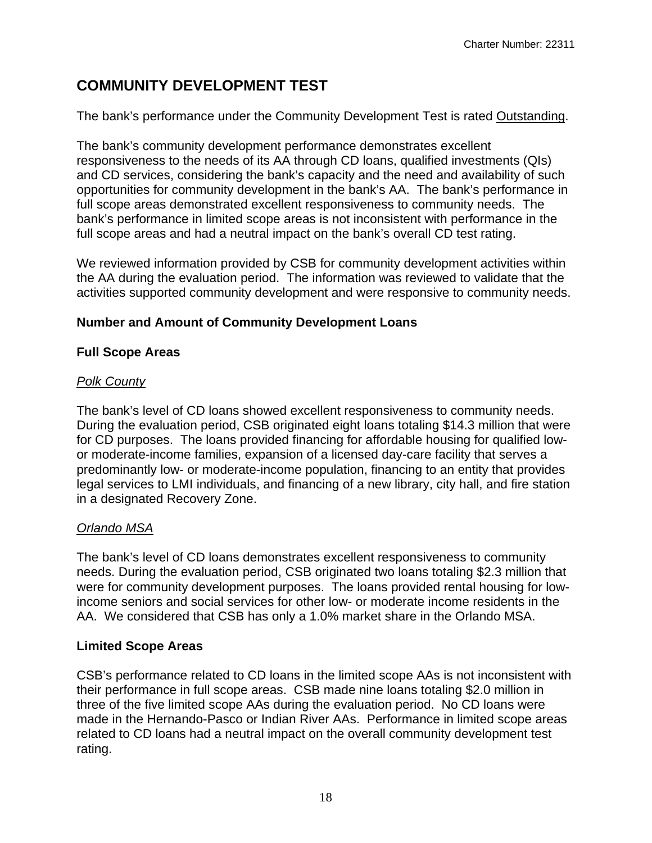# **COMMUNITY DEVELOPMENT TEST**

The bank's performance under the Community Development Test is rated Outstanding.

The bank's community development performance demonstrates excellent responsiveness to the needs of its AA through CD loans, qualified investments (QIs) and CD services, considering the bank's capacity and the need and availability of such opportunities for community development in the bank's AA. The bank's performance in full scope areas demonstrated excellent responsiveness to community needs. The bank's performance in limited scope areas is not inconsistent with performance in the full scope areas and had a neutral impact on the bank's overall CD test rating.

We reviewed information provided by CSB for community development activities within the AA during the evaluation period. The information was reviewed to validate that the activities supported community development and were responsive to community needs.

# **Number and Amount of Community Development Loans**

# **Full Scope Areas**

# *Polk County*

The bank's level of CD loans showed excellent responsiveness to community needs. During the evaluation period, CSB originated eight loans totaling \$14.3 million that were for CD purposes. The loans provided financing for affordable housing for qualified lowor moderate-income families, expansion of a licensed day-care facility that serves a predominantly low- or moderate-income population, financing to an entity that provides legal services to LMI individuals, and financing of a new library, city hall, and fire station in a designated Recovery Zone.

# *Orlando MSA*

The bank's level of CD loans demonstrates excellent responsiveness to community needs. During the evaluation period, CSB originated two loans totaling \$2.3 million that were for community development purposes. The loans provided rental housing for lowincome seniors and social services for other low- or moderate income residents in the AA. We considered that CSB has only a 1.0% market share in the Orlando MSA.

# **Limited Scope Areas**

CSB's performance related to CD loans in the limited scope AAs is not inconsistent with their performance in full scope areas. CSB made nine loans totaling \$2.0 million in three of the five limited scope AAs during the evaluation period. No CD loans were made in the Hernando-Pasco or Indian River AAs. Performance in limited scope areas related to CD loans had a neutral impact on the overall community development test rating.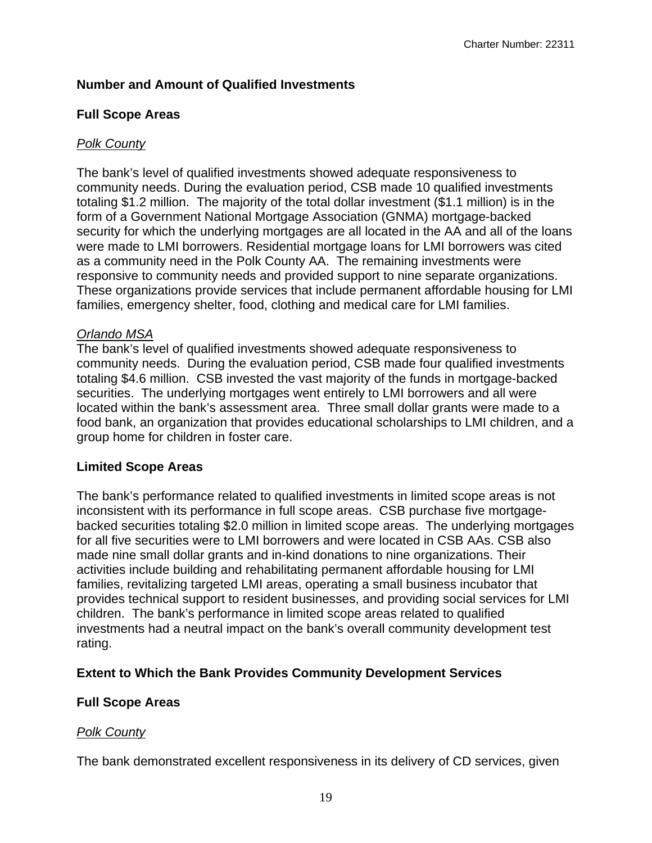# **Number and Amount of Qualified Investments**

# **Full Scope Areas**

# *Polk County*

The bank's level of qualified investments showed adequate responsiveness to community needs. During the evaluation period, CSB made 10 qualified investments totaling \$1.2 million. The majority of the total dollar investment (\$1.1 million) is in the form of a Government National Mortgage Association (GNMA) mortgage-backed security for which the underlying mortgages are all located in the AA and all of the loans were made to LMI borrowers. Residential mortgage loans for LMI borrowers was cited as a community need in the Polk County AA. The remaining investments were responsive to community needs and provided support to nine separate organizations. These organizations provide services that include permanent affordable housing for LMI families, emergency shelter, food, clothing and medical care for LMI families.

### *Orlando MSA*

The bank's level of qualified investments showed adequate responsiveness to community needs. During the evaluation period, CSB made four qualified investments totaling \$4.6 million. CSB invested the vast majority of the funds in mortgage-backed securities. The underlying mortgages went entirely to LMI borrowers and all were located within the bank's assessment area. Three small dollar grants were made to a food bank, an organization that provides educational scholarships to LMI children, and a group home for children in foster care.

#### **Limited Scope Areas**

The bank's performance related to qualified investments in limited scope areas is not inconsistent with its performance in full scope areas. CSB purchase five mortgagebacked securities totaling \$2.0 million in limited scope areas. The underlying mortgages for all five securities were to LMI borrowers and were located in CSB AAs. CSB also made nine small dollar grants and in-kind donations to nine organizations. Their activities include building and rehabilitating permanent affordable housing for LMI families, revitalizing targeted LMI areas, operating a small business incubator that provides technical support to resident businesses, and providing social services for LMI children. The bank's performance in limited scope areas related to qualified investments had a neutral impact on the bank's overall community development test rating.

# **Extent to Which the Bank Provides Community Development Services**

# **Full Scope Areas**

# *Polk County*

The bank demonstrated excellent responsiveness in its delivery of CD services, given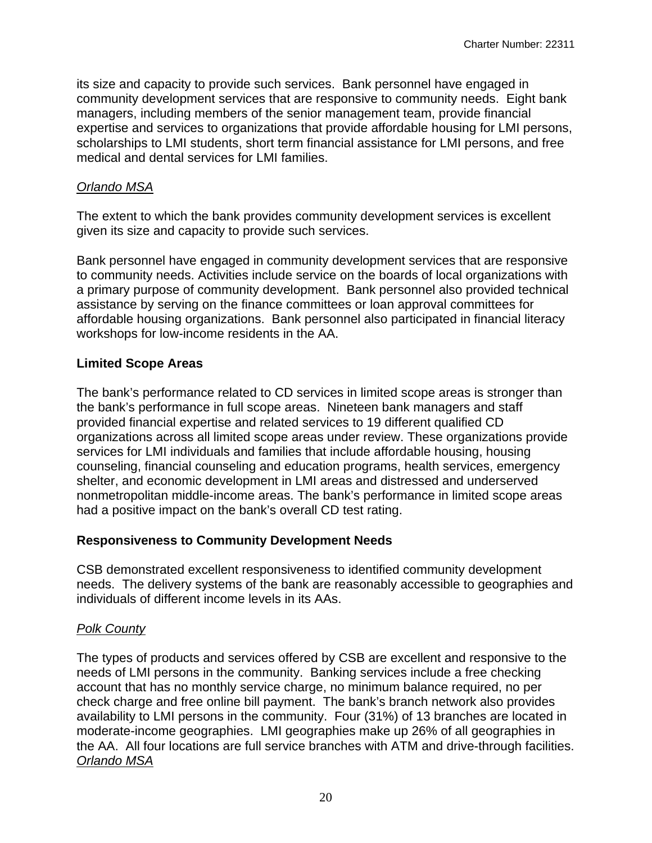its size and capacity to provide such services. Bank personnel have engaged in community development services that are responsive to community needs. Eight bank managers, including members of the senior management team, provide financial expertise and services to organizations that provide affordable housing for LMI persons, scholarships to LMI students, short term financial assistance for LMI persons, and free medical and dental services for LMI families.

### *Orlando MSA*

The extent to which the bank provides community development services is excellent given its size and capacity to provide such services.

Bank personnel have engaged in community development services that are responsive to community needs. Activities include service on the boards of local organizations with a primary purpose of community development. Bank personnel also provided technical assistance by serving on the finance committees or loan approval committees for affordable housing organizations. Bank personnel also participated in financial literacy workshops for low-income residents in the AA.

# **Limited Scope Areas**

The bank's performance related to CD services in limited scope areas is stronger than the bank's performance in full scope areas. Nineteen bank managers and staff provided financial expertise and related services to 19 different qualified CD organizations across all limited scope areas under review. These organizations provide services for LMI individuals and families that include affordable housing, housing counseling, financial counseling and education programs, health services, emergency shelter, and economic development in LMI areas and distressed and underserved nonmetropolitan middle-income areas. The bank's performance in limited scope areas had a positive impact on the bank's overall CD test rating.

# **Responsiveness to Community Development Needs**

CSB demonstrated excellent responsiveness to identified community development needs. The delivery systems of the bank are reasonably accessible to geographies and individuals of different income levels in its AAs.

# *Polk County*

The types of products and services offered by CSB are excellent and responsive to the needs of LMI persons in the community. Banking services include a free checking account that has no monthly service charge, no minimum balance required, no per check charge and free online bill payment. The bank's branch network also provides availability to LMI persons in the community. Four (31%) of 13 branches are located in moderate-income geographies. LMI geographies make up 26% of all geographies in the AA. All four locations are full service branches with ATM and drive-through facilities. *Orlando MSA*